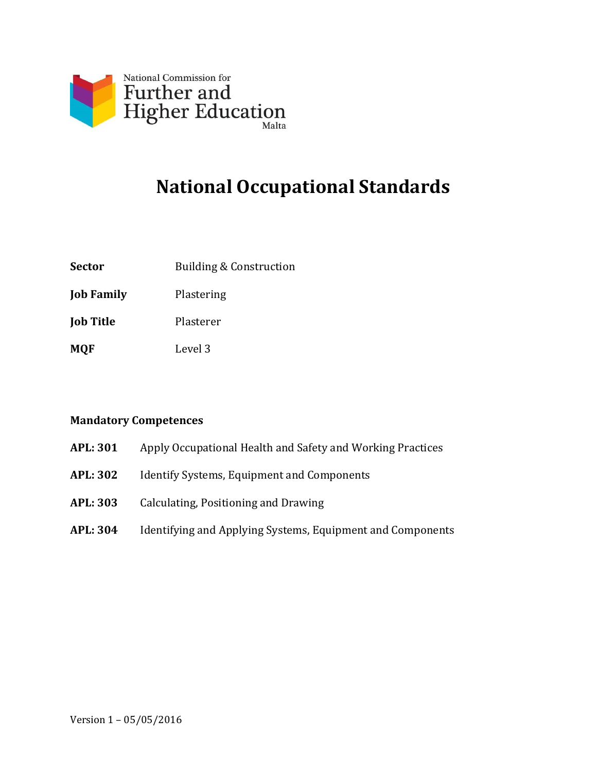

# **National Occupational Standards**

**Sector** Building & Construction

**Job Family** Plastering

**Job Title** Plasterer

**MQF** Level 3

#### **Mandatory Competences**

- **APL: 301** Apply Occupational Health and Safety and Working Practices
- **APL: 302** Identify Systems, Equipment and Components
- **APL: 303** Calculating, Positioning and Drawing
- **APL: 304** Identifying and Applying Systems, Equipment and Components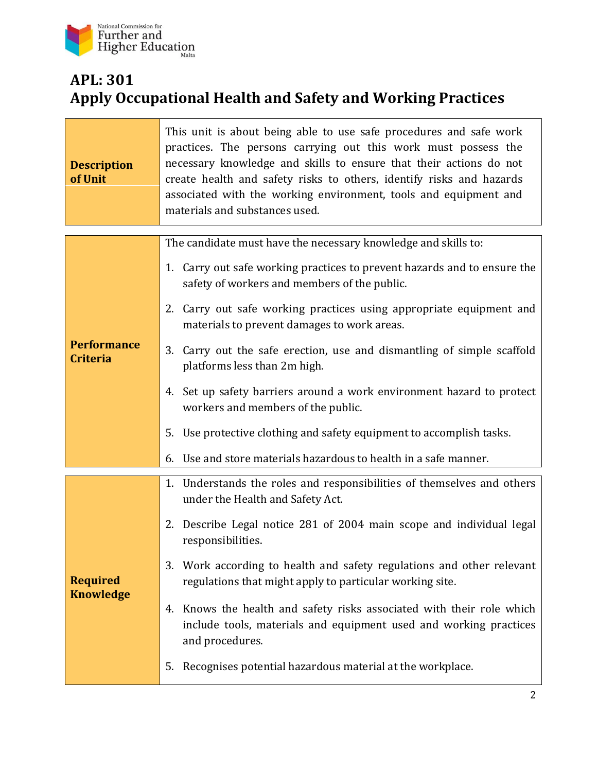

### **APL: 301 Apply Occupational Health and Safety and Working Practices**

| <b>Description</b><br>of Unit         | This unit is about being able to use safe procedures and safe work<br>practices. The persons carrying out this work must possess the<br>necessary knowledge and skills to ensure that their actions do not<br>create health and safety risks to others, identify risks and hazards<br>associated with the working environment, tools and equipment and<br>materials and substances used. |
|---------------------------------------|------------------------------------------------------------------------------------------------------------------------------------------------------------------------------------------------------------------------------------------------------------------------------------------------------------------------------------------------------------------------------------------|
|                                       | The candidate must have the necessary knowledge and skills to:                                                                                                                                                                                                                                                                                                                           |
|                                       | 1. Carry out safe working practices to prevent hazards and to ensure the<br>safety of workers and members of the public.                                                                                                                                                                                                                                                                 |
|                                       | 2. Carry out safe working practices using appropriate equipment and<br>materials to prevent damages to work areas.                                                                                                                                                                                                                                                                       |
| <b>Performance</b><br><b>Criteria</b> | 3. Carry out the safe erection, use and dismantling of simple scaffold<br>platforms less than 2m high.                                                                                                                                                                                                                                                                                   |
|                                       | 4. Set up safety barriers around a work environment hazard to protect<br>workers and members of the public.                                                                                                                                                                                                                                                                              |
|                                       | Use protective clothing and safety equipment to accomplish tasks.<br>5.                                                                                                                                                                                                                                                                                                                  |
|                                       | Use and store materials hazardous to health in a safe manner.<br>6.                                                                                                                                                                                                                                                                                                                      |
|                                       | 1. Understands the roles and responsibilities of themselves and others<br>under the Health and Safety Act.                                                                                                                                                                                                                                                                               |
| <b>Required</b><br><b>Knowledge</b>   | 2. Describe Legal notice 281 of 2004 main scope and individual legal<br>responsibilities.                                                                                                                                                                                                                                                                                                |
|                                       | Work according to health and safety regulations and other relevant<br>3.<br>regulations that might apply to particular working site.                                                                                                                                                                                                                                                     |
|                                       | Knows the health and safety risks associated with their role which<br>4.<br>include tools, materials and equipment used and working practices<br>and procedures.                                                                                                                                                                                                                         |
|                                       | Recognises potential hazardous material at the workplace.<br>5.                                                                                                                                                                                                                                                                                                                          |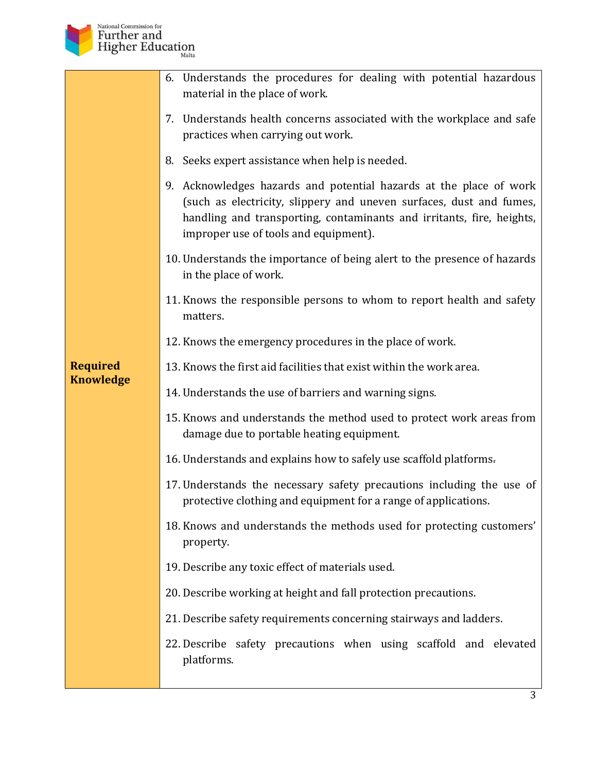

|                  | 6. Understands the procedures for dealing with potential hazardous<br>material in the place of work.                                                                                                                                                        |
|------------------|-------------------------------------------------------------------------------------------------------------------------------------------------------------------------------------------------------------------------------------------------------------|
|                  | 7. Understands health concerns associated with the workplace and safe<br>practices when carrying out work.                                                                                                                                                  |
|                  | 8. Seeks expert assistance when help is needed.                                                                                                                                                                                                             |
|                  | 9. Acknowledges hazards and potential hazards at the place of work<br>(such as electricity, slippery and uneven surfaces, dust and fumes,<br>handling and transporting, contaminants and irritants, fire, heights,<br>improper use of tools and equipment). |
|                  | 10. Understands the importance of being alert to the presence of hazards<br>in the place of work.                                                                                                                                                           |
|                  | 11. Knows the responsible persons to whom to report health and safety<br>matters.                                                                                                                                                                           |
|                  | 12. Knows the emergency procedures in the place of work.                                                                                                                                                                                                    |
| <b>Required</b>  | 13. Knows the first aid facilities that exist within the work area.                                                                                                                                                                                         |
| <b>Knowledge</b> | 14. Understands the use of barriers and warning signs.                                                                                                                                                                                                      |
|                  | 15. Knows and understands the method used to protect work areas from<br>damage due to portable heating equipment.                                                                                                                                           |
|                  | 16. Understands and explains how to safely use scaffold platforms.                                                                                                                                                                                          |
|                  | 17. Understands the necessary safety precautions including the use of<br>protective clothing and equipment for a range of applications.                                                                                                                     |
|                  | 18. Knows and understands the methods used for protecting customers'<br>property.                                                                                                                                                                           |
|                  | 19. Describe any toxic effect of materials used.                                                                                                                                                                                                            |
|                  | 20. Describe working at height and fall protection precautions.                                                                                                                                                                                             |
|                  | 21. Describe safety requirements concerning stairways and ladders.                                                                                                                                                                                          |
|                  | 22. Describe safety precautions when using scaffold and elevated<br>platforms.                                                                                                                                                                              |
|                  |                                                                                                                                                                                                                                                             |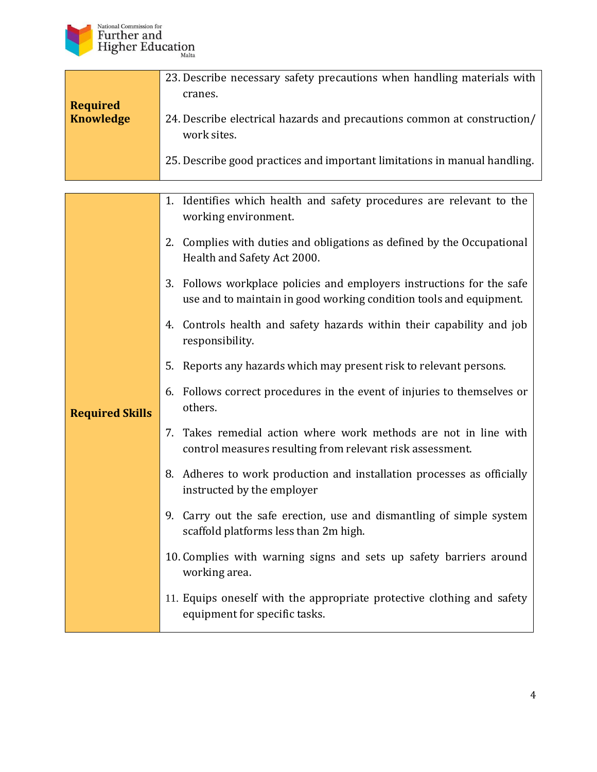

|                  | 23. Describe necessary safety precautions when handling materials with    |
|------------------|---------------------------------------------------------------------------|
|                  | cranes.                                                                   |
| <b>Required</b>  |                                                                           |
| <b>Knowledge</b> | 24. Describe electrical hazards and precautions common at construction/   |
|                  | work sites.                                                               |
|                  | 25. Describe good practices and important limitations in manual handling. |
|                  |                                                                           |

|                        | 1. Identifies which health and safety procedures are relevant to the<br>working environment.                                                |
|------------------------|---------------------------------------------------------------------------------------------------------------------------------------------|
|                        | 2. Complies with duties and obligations as defined by the Occupational<br>Health and Safety Act 2000.                                       |
|                        | 3. Follows workplace policies and employers instructions for the safe<br>use and to maintain in good working condition tools and equipment. |
|                        | 4. Controls health and safety hazards within their capability and job<br>responsibility.                                                    |
|                        | 5. Reports any hazards which may present risk to relevant persons.                                                                          |
| <b>Required Skills</b> | 6. Follows correct procedures in the event of injuries to themselves or<br>others.                                                          |
|                        | 7. Takes remedial action where work methods are not in line with<br>control measures resulting from relevant risk assessment.               |
|                        | 8. Adheres to work production and installation processes as officially<br>instructed by the employer                                        |
|                        | 9. Carry out the safe erection, use and dismantling of simple system<br>scaffold platforms less than 2m high.                               |
|                        | 10. Complies with warning signs and sets up safety barriers around<br>working area.                                                         |
|                        | 11. Equips oneself with the appropriate protective clothing and safety<br>equipment for specific tasks.                                     |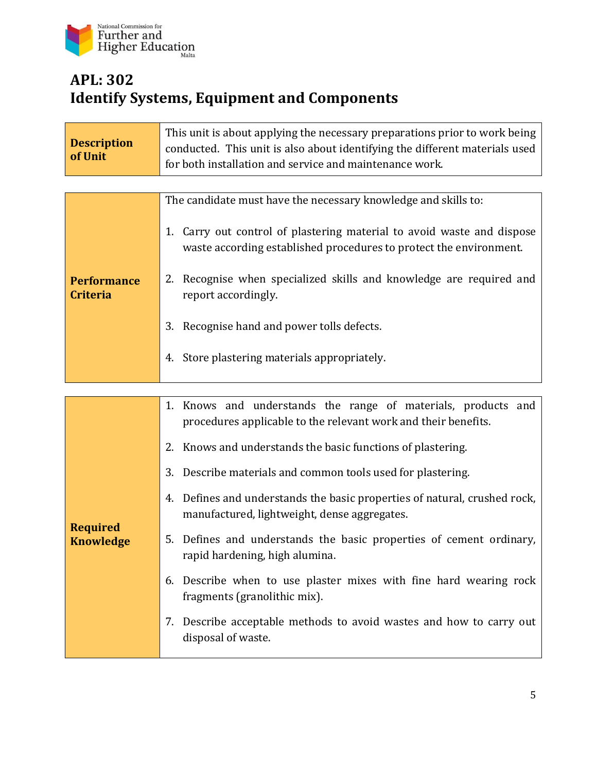

### **APL: 302 Identify Systems, Equipment and Components**

| <b>Description</b><br>of Unit         | This unit is about applying the necessary preparations prior to work being<br>conducted. This unit is also about identifying the different materials used<br>for both installation and service and maintenance work. |
|---------------------------------------|----------------------------------------------------------------------------------------------------------------------------------------------------------------------------------------------------------------------|
|                                       |                                                                                                                                                                                                                      |
|                                       | The candidate must have the necessary knowledge and skills to:                                                                                                                                                       |
| <b>Performance</b><br><b>Criteria</b> | 1. Carry out control of plastering material to avoid waste and dispose<br>waste according established procedures to protect the environment.                                                                         |
|                                       | 2. Recognise when specialized skills and knowledge are required and<br>report accordingly.                                                                                                                           |
|                                       | 3. Recognise hand and power tolls defects.                                                                                                                                                                           |
|                                       | 4. Store plastering materials appropriately.                                                                                                                                                                         |
|                                       |                                                                                                                                                                                                                      |
|                                       | 1. Knows and understands the range of materials, products and<br>procedures applicable to the relevant work and their benefits.                                                                                      |
|                                       | Knows and understands the basic functions of plastering.<br>2.                                                                                                                                                       |
|                                       | 3. Describe materials and common tools used for plastering.                                                                                                                                                          |
| <b>Required</b><br><b>Knowledge</b>   | 4. Defines and understands the basic properties of natural, crushed rock,<br>manufactured, lightweight, dense aggregates.                                                                                            |
|                                       | Defines and understands the basic properties of cement ordinary,<br>5.<br>rapid hardening, high alumina.                                                                                                             |
|                                       | 6. Describe when to use plaster mixes with fine hard wearing rock<br>fragments (granolithic mix).                                                                                                                    |
|                                       | Describe acceptable methods to avoid wastes and how to carry out<br>7.<br>disposal of waste.                                                                                                                         |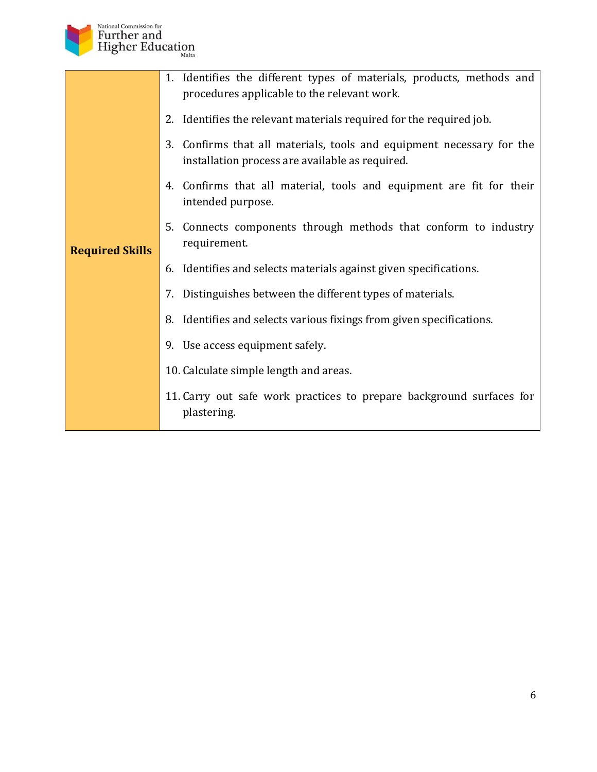

|                        | 1. Identifies the different types of materials, products, methods and<br>procedures applicable to the relevant work.     |
|------------------------|--------------------------------------------------------------------------------------------------------------------------|
|                        | 2. Identifies the relevant materials required for the required job.                                                      |
|                        | 3. Confirms that all materials, tools and equipment necessary for the<br>installation process are available as required. |
| <b>Required Skills</b> | 4. Confirms that all material, tools and equipment are fit for their<br>intended purpose.                                |
|                        | Connects components through methods that conform to industry<br>5.<br>requirement.                                       |
|                        | 6. Identifies and selects materials against given specifications.                                                        |
|                        | 7. Distinguishes between the different types of materials.                                                               |
|                        | 8. Identifies and selects various fixings from given specifications.                                                     |
|                        | 9. Use access equipment safely.                                                                                          |
|                        | 10. Calculate simple length and areas.                                                                                   |
|                        | 11. Carry out safe work practices to prepare background surfaces for<br>plastering.                                      |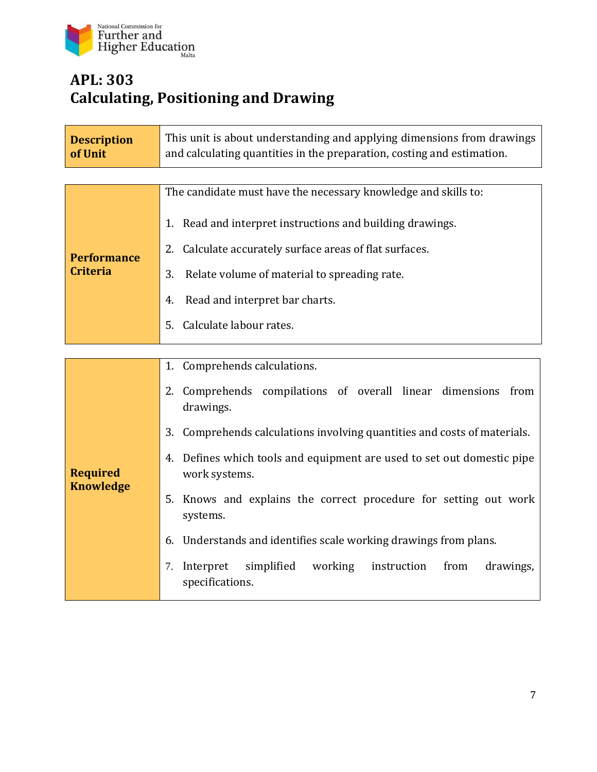

## **APL: 303 Calculating, Positioning and Drawing**

| <b>Description</b><br>of Unit       | This unit is about understanding and applying dimensions from drawings<br>and calculating quantities in the preparation, costing and estimation. |
|-------------------------------------|--------------------------------------------------------------------------------------------------------------------------------------------------|
|                                     |                                                                                                                                                  |
|                                     | The candidate must have the necessary knowledge and skills to:                                                                                   |
|                                     | Read and interpret instructions and building drawings.<br>1.<br>2.                                                                               |
| <b>Performance</b>                  | Calculate accurately surface areas of flat surfaces.                                                                                             |
| <b>Criteria</b>                     | 3.<br>Relate volume of material to spreading rate.                                                                                               |
|                                     | 4.<br>Read and interpret bar charts.                                                                                                             |
|                                     | Calculate labour rates.<br>5.                                                                                                                    |
|                                     |                                                                                                                                                  |
|                                     | Comprehends calculations.<br>1.                                                                                                                  |
| <b>Required</b><br><b>Knowledge</b> | 2. Comprehends compilations of overall linear dimensions from<br>drawings.                                                                       |
|                                     | 3. Comprehends calculations involving quantities and costs of materials.                                                                         |
|                                     | Defines which tools and equipment are used to set out domestic pipe<br>4.<br>work systems.                                                       |
|                                     | 5. Knows and explains the correct procedure for setting out work<br>systems.                                                                     |
|                                     | Understands and identifies scale working drawings from plans.<br>6.                                                                              |
|                                     | Interpret<br>simplified<br>working<br>drawings,<br>instruction<br>from<br>7.<br>specifications.                                                  |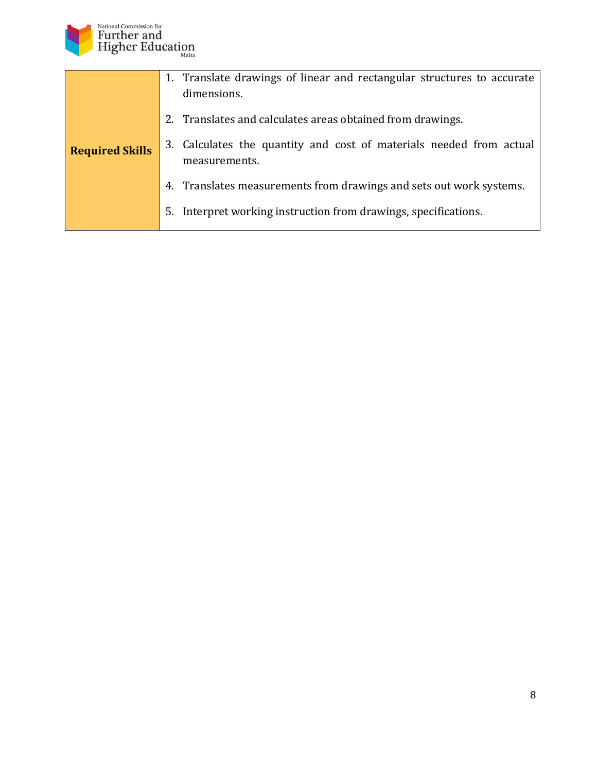

|                        | 1. Translate drawings of linear and rectangular structures to accurate<br>dimensions. |
|------------------------|---------------------------------------------------------------------------------------|
|                        | 2. Translates and calculates areas obtained from drawings.                            |
| <b>Required Skills</b> | 3. Calculates the quantity and cost of materials needed from actual<br>measurements.  |
|                        | 4. Translates measurements from drawings and sets out work systems.                   |
|                        | Interpret working instruction from drawings, specifications.<br>5.                    |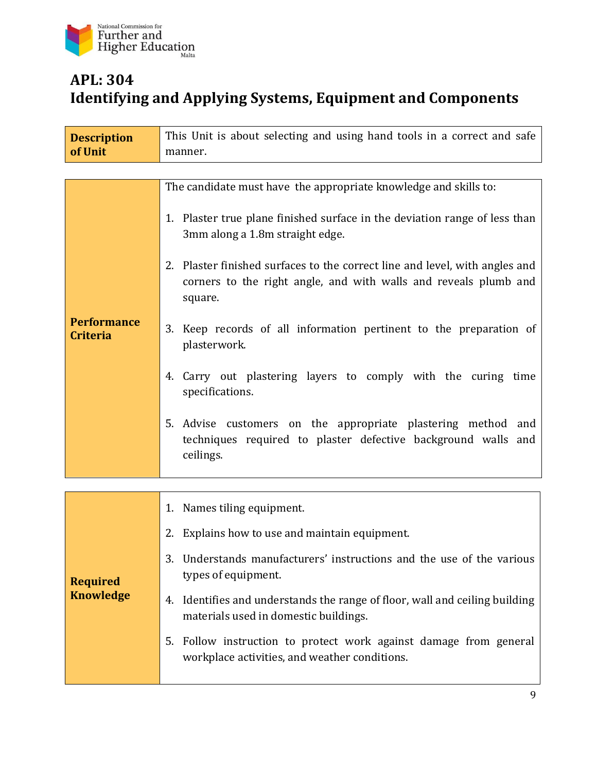

#### **APL: 304 Identifying and Applying Systems, Equipment and Components**

| <b>Description</b>                    | This Unit is about selecting and using hand tools in a correct and safe                                                                                                                                                                                                                                                                                                                                                                                                                                                                                                                                                                                                 |
|---------------------------------------|-------------------------------------------------------------------------------------------------------------------------------------------------------------------------------------------------------------------------------------------------------------------------------------------------------------------------------------------------------------------------------------------------------------------------------------------------------------------------------------------------------------------------------------------------------------------------------------------------------------------------------------------------------------------------|
| of Unit                               | manner.                                                                                                                                                                                                                                                                                                                                                                                                                                                                                                                                                                                                                                                                 |
|                                       |                                                                                                                                                                                                                                                                                                                                                                                                                                                                                                                                                                                                                                                                         |
| <b>Performance</b><br><b>Criteria</b> | The candidate must have the appropriate knowledge and skills to:<br>1. Plaster true plane finished surface in the deviation range of less than<br>3mm along a 1.8m straight edge.<br>2. Plaster finished surfaces to the correct line and level, with angles and<br>corners to the right angle, and with walls and reveals plumb and<br>square.<br>3. Keep records of all information pertinent to the preparation of<br>plasterwork.<br>4. Carry out plastering layers to comply with the curing time<br>specifications.<br>5. Advise customers on the appropriate plastering method and<br>techniques required to plaster defective background walls and<br>ceilings. |
|                                       |                                                                                                                                                                                                                                                                                                                                                                                                                                                                                                                                                                                                                                                                         |
|                                       | 1. Names tiling equipment.                                                                                                                                                                                                                                                                                                                                                                                                                                                                                                                                                                                                                                              |
| <b>Required</b><br><b>Knowledge</b>   | 2. Explains how to use and maintain equipment.                                                                                                                                                                                                                                                                                                                                                                                                                                                                                                                                                                                                                          |
|                                       | Understands manufacturers' instructions and the use of the various<br>3.<br>types of equipment.                                                                                                                                                                                                                                                                                                                                                                                                                                                                                                                                                                         |
|                                       | Identifies and understands the range of floor, wall and ceiling building<br>4.<br>materials used in domestic buildings.                                                                                                                                                                                                                                                                                                                                                                                                                                                                                                                                                 |
|                                       | Follow instruction to protect work against damage from general<br>5.<br>workplace activities, and weather conditions.                                                                                                                                                                                                                                                                                                                                                                                                                                                                                                                                                   |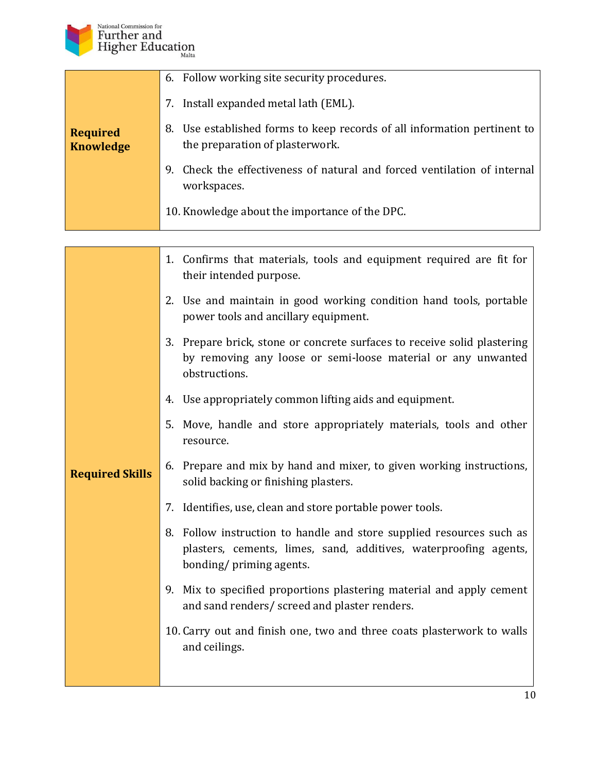

H

|                                     | 6. Follow working site security procedures.                                                                 |
|-------------------------------------|-------------------------------------------------------------------------------------------------------------|
|                                     | Install expanded metal lath (EML).<br>7.                                                                    |
| <b>Required</b><br><b>Knowledge</b> | 8. Use established forms to keep records of all information pertinent to<br>the preparation of plasterwork. |
|                                     | Check the effectiveness of natural and forced ventilation of internal<br>9.<br>workspaces.                  |
|                                     | 10. Knowledge about the importance of the DPC.                                                              |

|                        | 1. Confirms that materials, tools and equipment required are fit for<br>their intended purpose.                                                                     |
|------------------------|---------------------------------------------------------------------------------------------------------------------------------------------------------------------|
|                        | 2. Use and maintain in good working condition hand tools, portable<br>power tools and ancillary equipment.                                                          |
|                        | 3. Prepare brick, stone or concrete surfaces to receive solid plastering<br>by removing any loose or semi-loose material or any unwanted<br>obstructions.           |
|                        | 4. Use appropriately common lifting aids and equipment.                                                                                                             |
|                        | 5. Move, handle and store appropriately materials, tools and other<br>resource.                                                                                     |
| <b>Required Skills</b> | 6. Prepare and mix by hand and mixer, to given working instructions,<br>solid backing or finishing plasters.                                                        |
|                        | 7. Identifies, use, clean and store portable power tools.                                                                                                           |
|                        | 8. Follow instruction to handle and store supplied resources such as<br>plasters, cements, limes, sand, additives, waterproofing agents,<br>bonding/priming agents. |
|                        | 9. Mix to specified proportions plastering material and apply cement<br>and sand renders/ screed and plaster renders.                                               |
|                        | 10. Carry out and finish one, two and three coats plasterwork to walls<br>and ceilings.                                                                             |
|                        |                                                                                                                                                                     |

h